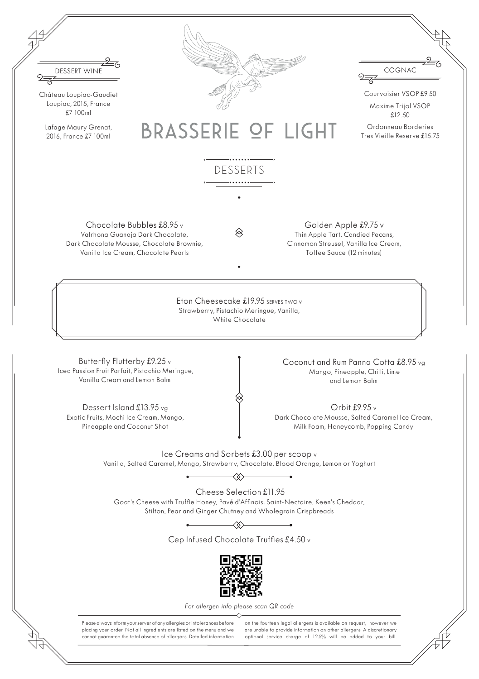